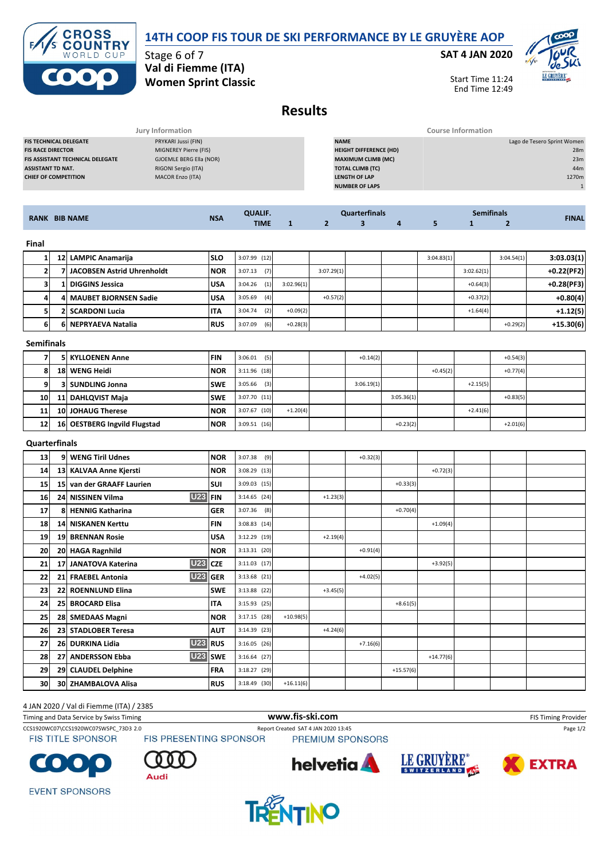# **14TH COOP FIS TOUR DE SKI PERFORMANCE BY LE GRUYÈRE AOP**



Stage 6 of 7 **Val di Fiemme (ITA) Women Sprint Classic**

### **SAT 4 JAN 2020**



Start Time 11:24 End Time 12:49

# **Results**

|                                         | Jury Information        |                               | Course Information          |
|-----------------------------------------|-------------------------|-------------------------------|-----------------------------|
| <b>FIS TECHNICAL DELEGATE</b>           | PRYKARI Jussi (FIN)     | <b>NAME</b>                   | Lago de Tesero Sprint Women |
| <b>FIS RACE DIRECTOR</b>                | MIGNEREY Pierre (FIS)   | <b>HEIGHT DIFFERENCE (HD)</b> | 28m                         |
| <b>FIS ASSISTANT TECHNICAL DELEGATE</b> | GJOEMLE BERG Ella (NOR) | <b>MAXIMUM CLIMB (MC)</b>     | 23m                         |
| <b>ASSISTANT TD NAT.</b>                | RIGONI Sergio (ITA)     | <b>TOTAL CLIMB (TC)</b>       | 44m                         |
| <b>CHIEF OF COMPETITION</b>             | <b>MACOR Enzo (ITA)</b> | <b>LENGTH OF LAP</b>          | 1270m                       |
|                                         |                         | <b>NUMBER OF LAPS</b>         |                             |
|                                         |                         |                               |                             |

|       | <b>RANK BIB NAME</b>         |            | <b>QUALIF.</b> |            |            | <b>Quarterfinals</b> |   |            | <b>Semifinals</b> |            | <b>FINAL</b> |
|-------|------------------------------|------------|----------------|------------|------------|----------------------|---|------------|-------------------|------------|--------------|
|       |                              | <b>NSA</b> | <b>TIME</b>    |            |            |                      | 4 |            |                   |            |              |
| Final |                              |            |                |            |            |                      |   |            |                   |            |              |
|       | 12 LAMPIC Anamarija          | <b>SLO</b> | $3:07.99$ (12) |            |            |                      |   | 3:04.83(1) |                   | 3:04.54(1) | 3:03.03(1)   |
|       | 7 JACOBSEN Astrid Uhrenholdt | <b>NOR</b> | 3:07.13<br>(7) |            | 3:07.29(1) |                      |   |            | 3:02.62(1)        |            | $+0.22(PF2)$ |
| 31    | 1   DIGGINS Jessica          | <b>USA</b> | (1)<br>3:04.26 | 3:02.96(1) |            |                      |   |            | $+0.64(3)$        |            | $+0.28(PF3)$ |
| 4     | 4 MAUBET BJORNSEN Sadie      | <b>USA</b> | (4)<br>3:05.69 |            | $+0.57(2)$ |                      |   |            | $+0.37(2)$        |            | $+0.80(4)$   |

**5 2 SCARDONI Lucia ITA** 3:04.74 (2) +0.09(2) +1.64(4) **+1.12(5) 6 6 NEPRYAEVA Natalia RUS** 3:07.09 (6) +0.28(3) +0.29(2) **+15.30(6)**

| Cappai film a L |  |  |
|-----------------|--|--|

| <b>Semifinals</b> |                              |            |                |            |            |            |            |            |            |  |
|-------------------|------------------------------|------------|----------------|------------|------------|------------|------------|------------|------------|--|
|                   | <b>5 KYLLOENEN Anne</b>      | <b>FIN</b> | (5)<br>3:06.01 |            | $+0.14(2)$ |            |            |            | $+0.54(3)$ |  |
| 8                 | 18 WENG Heidi                | <b>NOR</b> | $3:11.96$ (18) |            |            |            | $+0.45(2)$ |            | $+0.77(4)$ |  |
| 9                 | 3 SUNDLING Jonna             | <b>SWE</b> | $3:05.66$ (3)  |            | 3:06.19(1) |            |            | $+2.15(5)$ |            |  |
| 10                | 11 DAHLQVIST Maja            | <b>SWE</b> | 3:07.70(11)    |            |            | 3:05.36(1) |            |            | $+0.83(5)$ |  |
| 11                | <b>10 JOHAUG Therese</b>     | <b>NOR</b> | $3:07.67$ (10) | $+1.20(4)$ |            |            |            | $+2.41(6)$ |            |  |
| 12                | 16 OESTBERG Ingvild Flugstad | <b>NOR</b> | $3:09.51$ (16) |            |            | $+0.23(2)$ |            |            | $+2.01(6)$ |  |

### **Quarterfinals**

| 13 | 9 WENG Tiril Udnes                   | <b>NOR</b> | 3:07.38<br>(9) |             |            | $+0.32(3)$ |             |             |  |  |
|----|--------------------------------------|------------|----------------|-------------|------------|------------|-------------|-------------|--|--|
| 14 | 13 KALVAA Anne Kjersti               | <b>NOR</b> | $3:08.29$ (13) |             |            |            |             | $+0.72(3)$  |  |  |
| 15 | 15 van der GRAAFF Laurien            | SUI        | $3:09.03$ (15) |             |            |            | $+0.33(3)$  |             |  |  |
| 16 | <b>U23 FIN</b><br>24 NISSINEN Vilma  |            | $3:14.65$ (24) |             | $+1.23(3)$ |            |             |             |  |  |
| 17 | 8 HENNIG Katharina                   | <b>GER</b> | $3:07.36$ (8)  |             |            |            | $+0.70(4)$  |             |  |  |
| 18 | <b>14 NISKANEN Kerttu</b>            | <b>FIN</b> | $3:08.83$ (14) |             |            |            |             | $+1.09(4)$  |  |  |
| 19 | 19 BRENNAN Rosie                     | <b>USA</b> | 3:12.29 (19)   |             | $+2.19(4)$ |            |             |             |  |  |
| 20 | 20 HAGA Ragnhild                     | <b>NOR</b> | $3:13.31$ (20) |             |            | $+0.91(4)$ |             |             |  |  |
| 21 | $U23$ CZE<br>17 JANATOVA Katerina    |            | $3:11.03$ (17) |             |            |            |             | $+3.92(5)$  |  |  |
| 22 | <b>U23 GER</b><br>21 FRAEBEL Antonia |            | $3:13.68$ (21) |             |            | $+4.02(5)$ |             |             |  |  |
| 23 | 22 ROENNLUND Elina                   | <b>SWE</b> | $3:13.88$ (22) |             | $+3.45(5)$ |            |             |             |  |  |
| 24 | 25 BROCARD Elisa                     | <b>ITA</b> | $3:15.93$ (25) |             |            |            | $+8.61(5)$  |             |  |  |
| 25 | 28 SMEDAAS Magni                     | <b>NOR</b> | $3:17.15$ (28) | $+10.98(5)$ |            |            |             |             |  |  |
| 26 | 23 STADLOBER Teresa                  | <b>AUT</b> | $3:14.39$ (23) |             | $+4.24(6)$ |            |             |             |  |  |
| 27 | <b>U23</b> RUS<br>26 DURKINA Lidia   |            | $3:16.05$ (26) |             |            | $+7.16(6)$ |             |             |  |  |
| 28 | 27 ANDERSSON Ebba                    | U23 SWE    | $3:16.64$ (27) |             |            |            |             | $+14.77(6)$ |  |  |
| 29 | 29 CLAUDEL Delphine                  | <b>FRA</b> | $3:18.27$ (29) |             |            |            | $+15.57(6)$ |             |  |  |
| 30 | 30 ZHAMBALOVA Alisa                  | <b>RUS</b> | $3:18.49$ (30) | $+16.11(6)$ |            |            |             |             |  |  |

#### 4 JAN 2020 / Val di Fiemme (ITA) / 2385

| <b>FIS Timing Provider</b> |                    | www.fis-ski.com                     |                               | Timing and Data Service by Swiss Timing |
|----------------------------|--------------------|-------------------------------------|-------------------------------|-----------------------------------------|
| Page 1/2                   |                    | Report Created SAT 4 JAN 2020 13:45 |                               | CCS1920WC07\CCS1920WC07SWSPC 73D3 2.0   |
|                            |                    | PREMIUM SPONSORS                    | <b>FIS PRESENTING SPONSOR</b> | <b>FIS TITLE SPONSOR</b>                |
| EVTDA                      | <b>LE GRUYERE®</b> | hohrotie <b>A</b>                   | 88 A                          | rana a                                  |